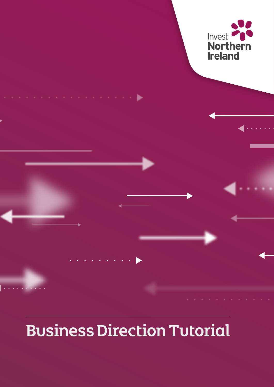

# Business Direction Tutorial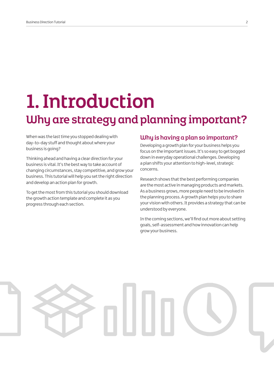# 1. Introduction Why are strategy and planning important?

When was the last time you stopped dealing with day-to-day stuff and thought about where your business is going?

Thinking ahead and having a clear direction for your business is vital. It's the best way to take account of changing circumstances, stay competitive, and grow your business. This tutorial will help you set the right direction and develop an action plan for growth.

To get the most from this tutorial you should download the growth action template and complete it as you progress through each section.

### Why is having a plan so important?

Developing a growth plan for your business helps you focus on the important issues. It's so easy to get bogged down in everyday operational challenges. Developing a plan shifts your attention to high-level, strategic concerns.

Research shows that the best performing companies are the most active in managing products and markets. As a business grows, more people need to be involved in the planning process. A growth plan helps you to share your vision with others. It provides a strategy that can be understood by everyone.

In the coming sections, we'll find out more about setting goals, self-assessment and how innovation can help grow your business.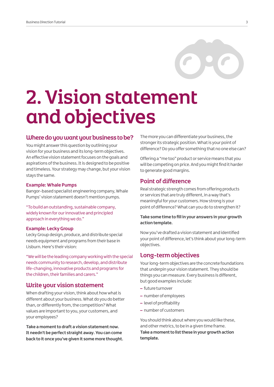

# 2. Vision statement and objectives

#### Where do you want your business to be?

You might answer this question by outlining your vision for your business and its long-term objectives. An effective vision statement focuses on the goals and aspirations of the business. It is designed to be positive and timeless. Your strategy may change, but your vision stays the same.

#### **Example: Whale Pumps**

Bangor-based specialist engineering company, Whale Pumps' vision statement doesn't mention pumps.

"To build an outstanding, sustainable company, widely known for our innovative and principled approach in everything we do."

#### **Example: Lecky Group**

Lecky Group design, produce, and distribute special needs equipment and programs from their base in Lisburn. Here's their vision:

"We will be the leading company working with the special needs community to research, develop, and distribute life-changing, innovative products and programs for the children, their families and carers."

### Write your vision statement

When drafting your vision, think about how what is different about your business. What do you do better than, or differently from, the competition? What values are important to you, your customers, and your employees?

**Take a moment to draft a vision statement now. It needn't be perfect straight away. You can come back to it once you've given it some more thought.**

The more you can differentiate your business, the stronger its strategic position. What is your point of difference? Do you offer something that no one else can?

Offering a "me too" product or service means that you will be competing on price. And you might find it harder to generate good margins.

### Point of difference

Real strategic strength comes from offering products or services that are truly different, in a way that's meaningful for your customers. How strong is your point of difference? What can you do to strengthen it?

#### **Take some time to fill in your answers in your growth action template.**

Now you've drafted a vision statement and identified your point of difference, let's think about your long-term objectives.

#### Long-term objectives

Your long-term objectives are the concrete foundations that underpin your vision statement. They should be things you can measure. Every business is different, but good examples include:

- future turnover
- number of employees
- level of profitability
- number of customers

You should think about where you would like these, and other metrics, to be in a given time frame. **Take a moment to list these in your growth action template.**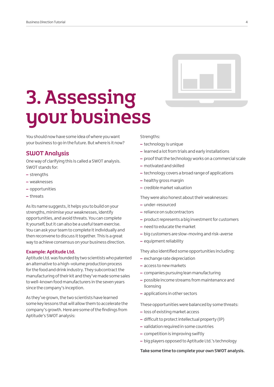# 3. Assessing your business

You should now have some idea of where you want your business to go in the future. But where is it now?

## SWOT Analysis

One way of clarifying this is called a SWOT analysis. SWOT stands for:

- strengths
- weaknesses
- opportunities
- threats

As its name suggests, it helps you to build on your strengths, minimise your weaknesses, identify opportunities, and avoid threats. You can complete it yourself, but it can also be a useful team exercise. You can ask your team to complete it individually and then reconvene to discuss it together. This is a great way to achieve consensus on your business direction.

#### **Example: Aptitude Ltd.**

Aptitude Ltd. was founded by two scientists who patented an alternative to a high-volume production process for the food and drink industry. They subcontract the manufacturing of their kit and they've made some sales to well-known food manufacturers in the seven years since the company's inception.

As they've grown, the two scientists have learned some key lessons that will allow them to accelerate the company's growth. Here are some of the findings from Aptitude's SWOT analysis:

#### Strengths:

- technology is unique
- learned a lot from trials and early installations
- proof that the technology works on a commercial scale
- motivated and skilled
- technology covers a broad range of applications
- healthy gross margin
- credible market valuation

They were also honest about their weaknesses:

- under-resourced
- reliance on subcontractors
- product represents a big investment for customers
- need to educate the market
- big customers are slow-moving and risk-averse
- equipment reliability

They also identified some opportunities including:

- exchange rate depreciation
- access to new markets
- companies pursuing lean manufacturing
- possible income streams from maintenance and licensing
- applications in other sectors

These opportunities were balanced by some threats:

- loss of existing market access
- difficult to protect intellectual property (IP)
- validation required in some countries
- competition is improving swiftly
- big players opposed to Aptitude Ltd.'s technology

#### **Take some time to complete your own SWOT analysis.**

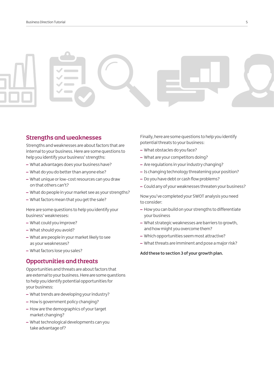# Strengths and weaknesses

Strengths and weaknesses are about factors that are internal to your business. Here are some questions to help you identify your business' strengths:

- What advantages does your business have?
- What do you do better than anyone else?
- What unique or low-cost resources can you draw on that others can't?
- What do people in your market see as your strengths?
- What factors mean that you get the sale?

Here are some questions to help you identify your business' weaknesses:

- What could you improve?
- What should you avoid?
- What are people in your market likely to see as your weaknesses?
- What factors lose you sales?

# Opportunities and threats

Opportunities and threats are about factors that are external to your business. Here are some questions to help you identify potential opportunities for your business:

- What trends are developing your industry?
- How is government policy changing?
- How are the demographics of your target market changing?
- What technological developments can you take advantage of?

Finally, here are some questions to help you identify potential threats to your business:

- What obstacles do you face?
- What are your competitors doing?
- Are regulations in your industry changing?
- Is changing technology threatening your position?
- Do you have debt or cash flow problems?
- Could any of your weaknesses threaten your business?

Now you've completed your SWOT analysis you need to consider:

- How you can build on your strengths to differentiate your business
- What strategic weaknesses are barriers to growth, and how might you overcome them?
- Which opportunities seem most attractive?
- What threats are imminent and pose a major risk?

#### **Add these to section 3 of your growth plan.**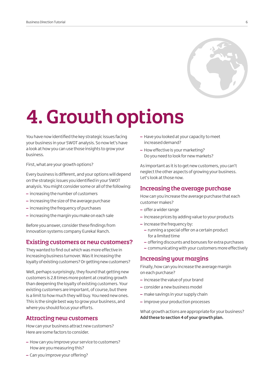

# 4. Growth options

You have now identified the key strategic issues facing your business in your SWOT analysis. So now let's have a look at how you can use those insights to grow your business.

First, what are your growth options?

Every business is different, and your options will depend on the strategic issues you identified in your SWOT analysis. You might consider some or all of the following:

- increasing the number of customers
- increasing the size of the average purchase
- increasing the frequency of purchases
- increasing the margin you make on each sale

Before you answer, consider these findings from innovation systems company Eureka! Ranch.

#### Existing customers or new customers?

They wanted to find out which was more effective in increasing business turnover. Was it increasing the loyalty of existing customers? Or getting new customers?

Well, perhaps surprisingly, they found that getting new customers is 2.8 times more potent at creating growth than deepening the loyalty of existing customers. Your existing customers are important, of course, but there is a limit to how much they will buy. You need new ones. This is the single best way to grow your business, and where you should focus your efforts.

### Attracting new customers

How can your business attract new customers? Here are some factors to consider.

- How can you improve your service to customers? How are you measuring this?
- Can you improve your offering?
- Have you looked at your capacity to meet increased demand?
- How effective is your marketing? Do you need to look for new markets?

As important as it is to get new customers, you can't neglect the other aspects of growing your business. Let's look at those now.

### Increasing the average purchase

How can you increase the average purchase that each customer makes?

- offer a wider range
- increase prices by adding value to your products
- increase the frequency by:
	- running a special offer on a certain product for a limited time
	- offering discounts and bonuses for extra purchases
	- communicating with your customers more effectively

### Increasing your margins

Finally, how can you increase the average margin on each purchase?

- increase the value of your brand
- consider a new business model
- make savings in your supply chain
- improve your production processes

What growth actions are appropriate for your business? **Add these to section 4 of your growth plan.**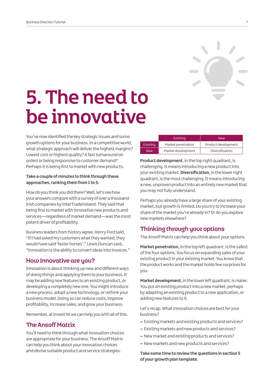# 5. The need to be innovative

You've now identified the key strategic issues and some growth options for your business. In a competitive world, what strategic approach will deliver the highest margins? Lowest cost or highest quality? A fast turnaround on orders or being responsive to customer demand? Perhaps it is being first to market with new products.

#### **Take a couple of minutes to think through these approaches, ranking them from 1 to 5.**

How do you think you did there? Well, let's see how your answers compare with a survey of over a thousand Irish companies by InterTradeIreland. They said that being first to market with innovative new products and services—regardless of market demand—was the most potent driver of profitability.

Business leaders from history agree. Henry Ford said, "If I had asked my customers what they wanted, they would have said 'faster horses'." Lewis Duncan said, "Innovation is the ability to convert ideas into invoices."

### How innovative are you?

Innovation is about thinking up new and different ways of doing things and applying them to your business. It may be adding new features to an existing product, or developing a completely new one. You might introduce a new process, adopt a new technology, or rethink your business model. Doing so can reduce costs, improve profitability, increase sales, and grow your business.

Remember, at Invest NI we can help you with all of this.

# The Ansoff Matrix

You'll need to think through what innovation choices are appropriate for your business. The Ansoff Matrix can help you think about your innovation choices and devise suitable product and service strategies.

|            | Existing           | <b>New</b>          |
|------------|--------------------|---------------------|
| Existing   | Market penetration | Product development |
| <b>New</b> | Market development | Diversification     |

**Product development**, in the top right quadrant, is challenging. It means introducing a new product into your existing market. **Diversification**, in the lower right quadrant, is the most challenging. It means introducing a new, unproven product into an entirely new market that you may not fully understand.

Perhaps you already have a large share of your existing market, but growth is limited. Do you try to increase your share of the market you're already in? Or do you explore new markets elsewhere?

# Thinking through your options

The Ansoff Matrix can help you think about your options.

**Market penetration**, in the top left quadrant, is the safest of the four options. You focus on expanding sales of your existing product in your existing market. You know that the product works and the market holds few surprises for you.

**Market development**, in the lower left quadrant, is riskier. You put an existing product into a new market, perhaps by adapting an existing product to a new application, or adding new features to it.

Let's recap. What innovation choices are best for your business?

- Existing markets and existing products and services?
- Existing markets and new products and services?
- New market and existing products and services?
- New markets and new products and services?

**Take some time to review the questions in section 5 of your growth plan template.**